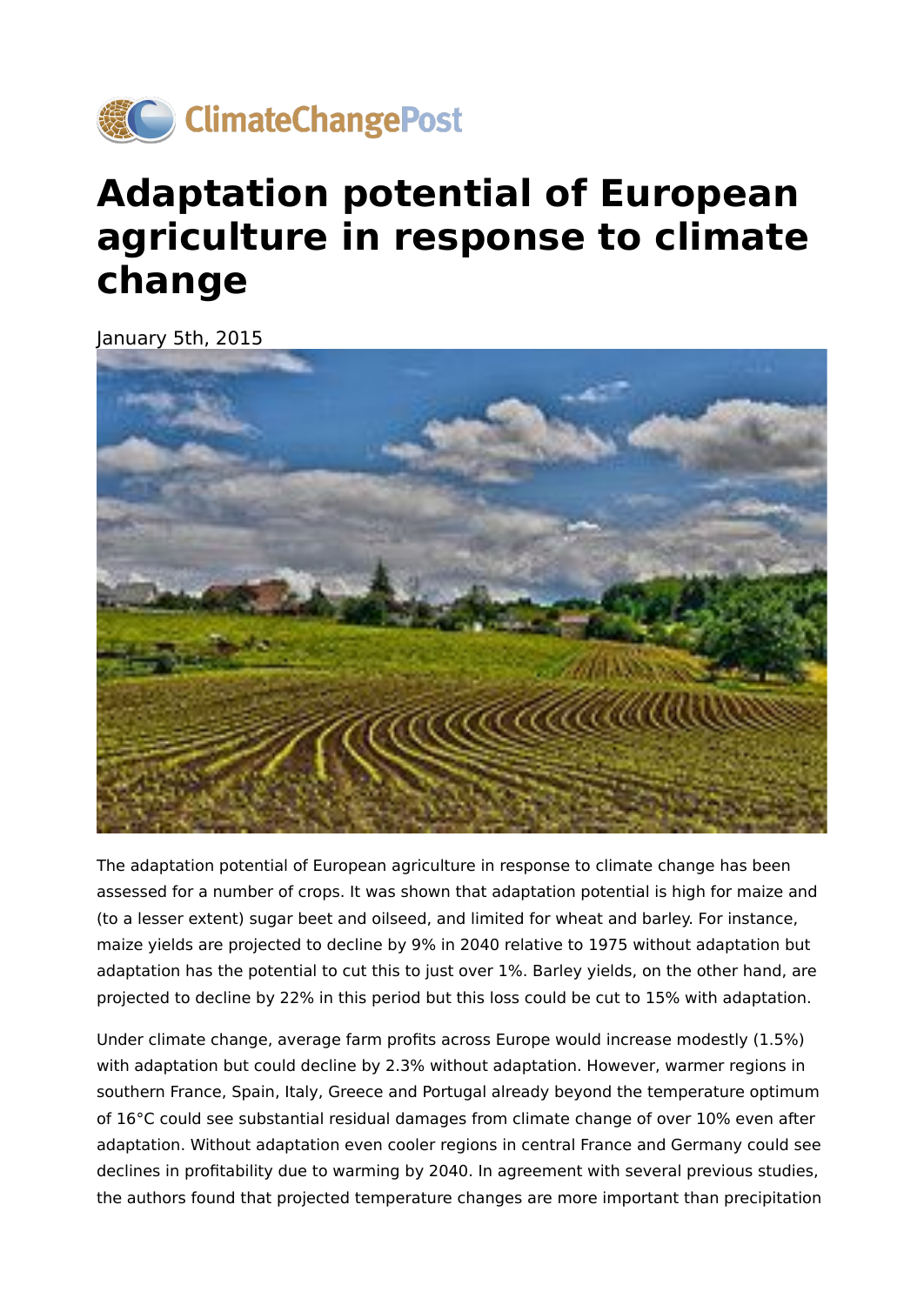

## **Adaptation potential of European agriculture in response to climate change**

January 5th, 2015



The adaptation potential of European agriculture in response to climate change has been assessed for a number of crops. It was shown that adaptation potential is high for maize and (to a lesser extent) sugar beet and oilseed, and limited for wheat and barley. For instance, maize yields are projected to decline by 9% in 2040 relative to 1975 without adaptation but adaptation has the potential to cut this to just over 1%. Barley yields, on the other hand, are projected to decline by 22% in this period but this loss could be cut to 15% with adaptation.

Under climate change, average farm profits across Europe would increase modestly (1.5%) with adaptation but could decline by 2.3% without adaptation. However, warmer regions in southern France, Spain, Italy, Greece and Portugal already beyond the temperature optimum of 16°C could see substantial residual damages from climate change of over 10% even after adaptation. Without adaptation even cooler regions in central France and Germany could see declines in profitability due to warming by 2040. In agreement with several previous studies, the authors found that projected temperature changes are more important than precipitation